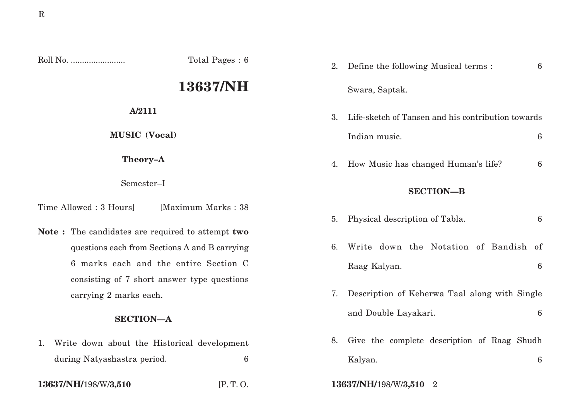Roll No. ........................ Total Pages : 6

# **13637/NH**

**A/2111**

**MUSIC (Vocal)**

**Theory–A**

Semester–I

Time Allowed : 3 Hours [Maximum Marks : 38]

**Note :** The candidates are required to attempt **two** questions each from Sections A and B carrying 6 marks each and the entire Section C consisting of 7 short answer type questions carrying 2 marks each.

# **SECTION—A**

1. Write down about the Historical development during Natyashastra period. 6

**13637/NH/**198/W/**3,510** [P. T. O. **13637/NH/**198/W/**3,510** 2

| Define the following Musical terms :<br>$6\phantom{a}$ |
|--------------------------------------------------------|
| Swara, Saptak.                                         |
| Life-sketch of Tansen and his contribution towards     |
| Indian music.<br>6                                     |
| How Music has changed Human's life?<br>6               |
| <b>SECTION-B</b>                                       |
| $6\phantom{a}$<br>Physical description of Tabla.       |
| Write down the Notation of Bandish<br>of               |
| 6<br>Raag Kalyan.                                      |
| Description of Keherwa Taal along with Single          |
| $6\phantom{1}6$<br>and Double Layakari.                |
| Give the complete description of Raag Shudh            |
| Kalyan.<br>6                                           |
|                                                        |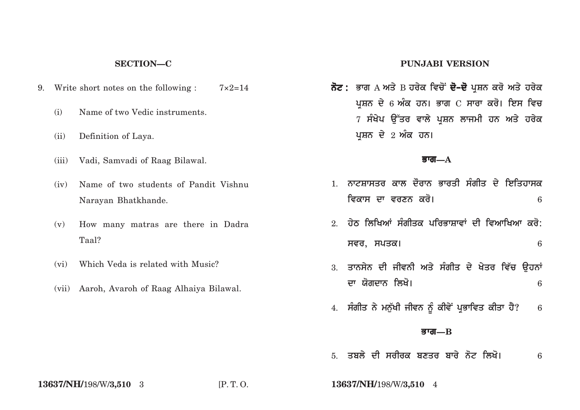## **SECTION—C**

- 9. Write short notes on the following :  $7 \times 2=14$ 
	- (i) Name of two Vedic instruments.
	- (ii) Definition of Laya.
	- (iii) Vadi, Samvadi of Raag Bilawal.
	- (iv) Name of two students of Pandit Vishnu Narayan Bhatkhande.
	- (v) How many matras are there in Dadra Taal?
	- (vi) Which Veda is related with Music?
	- (vii) Aaroh, Avaroh of Raag Alhaiya Bilawal.

### **PUNJABI VERSION**

**ਨੋਟ :** ਭਾਗ A ਅਤੇ B ਹਰੇਕ ਵਿਚੋਂ **ਦੋ–ਦੋ** ਪ੍ਰਸ਼ਨ ਕਰੋ ਅਤੇ ਹਰੇਕ ਪਸ਼ਨ ਦੇ 6 ਅੰਕ ਹਨ। ਭਾਗ C ਸਾਰਾ ਕਰੋ। ਇਸ ਵਿਚ 7 ਸੰਖੇਪ ਉੱਤਰ ਵਾਲੇ ਪਸ਼ਨ ਲਾਜਮੀ ਹਨ ਅਤੇ ਹਰੇਕ ਪਸ਼ਨ ਦੇ 2 ਅੰਕ ਹਨ।

#### **Bwg—A**

- 1. *ਨਾਟਸਾਸਤ*ਰ ਕਾਲ ਦੌਰਾਨ ਭਾਰਤੀ ਸੰਗੀਤ ਦੇ ਇਤਿਹਾਸਕ **ivkws dw vrxn kro[** <sup>6</sup>
- $2$  ਹੇਨ ਲਿਖਿਆਂ ਸੰਗੀਤਕ ਪਰਿਭਾਸ਼ਾਵਾਂ ਦੀ ਵਿਆਖਿਆ ਕਰੋ: **svr, spqk[** 6
- 3. ਤਾਨਸੇਨ ਦੀ ਜੀਵਨੀ ਅਤੇ ਸੰਗੀਤ ਦੇ ਖੇਤਰ ਵਿੱਚ **ੳਹਨਾਂ dw Xogdwn ilKo[** <sup>6</sup>
- 4. ਸੰਗੀਤ ਨੇ ਮਨੁੱਖੀ ਜੀਵਨ ਨੂੰ ਕੀਵੇਂ ਪ੍ਰਭਾਵਿਤ ਕੀਤਾ ਹੈ? 6

#### **Bwg—B**

5. ਤਬਲੇ ਦੀ ਸਰੀਰਕ ਬਣਤਰ ਬਾਰੇ ਨੋਟ ਲਿਖੋ। 6

**13637/NH/**198/W/**3,510** 3 [P. T. O. **13637/NH/**198/W/**3,510** 4